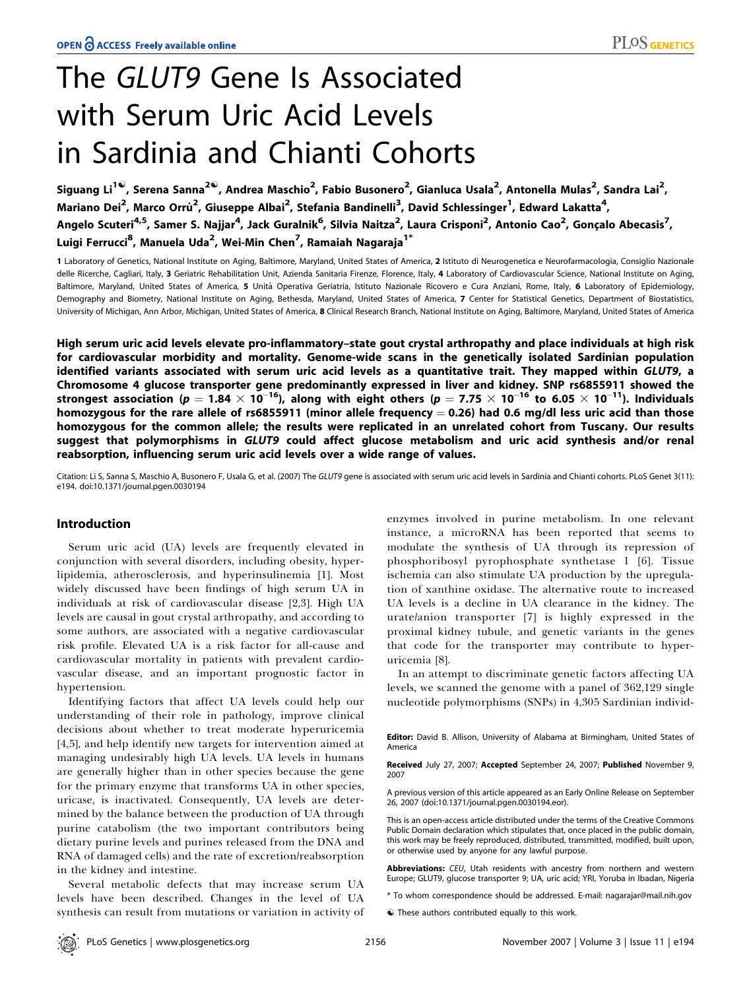# The GLUT9 Gene Is Associated with Serum Uric Acid Levels in Sardinia and Chianti Cohorts

Siguang Li<sup>1©</sup>, Serena Sanna<sup>2©</sup>, Andrea Maschio<sup>2</sup>, Fabio Busonero<sup>2</sup>, Gianluca Usala<sup>2</sup>, Antonella Mulas<sup>2</sup>, Sandra Lai<sup>2</sup>, Mariano Dei $^2$ , Marco Orrù $^2$ , Giuseppe Albai $^2$ , Stefania Bandinelli $^3$ , David Schlessinger $^1$ , Edward Lakatta $^4$ , Angelo Scuteri<sup>4,5</sup>, Samer S. Najjar<sup>4</sup>, Jack Guralnik<sup>6</sup>, Silvia Naitza<sup>2</sup>, Laura Crisponi<sup>2</sup>, Antonio Cao<sup>2</sup>, Gonçalo Abecasis<sup>7</sup>, Luigi Ferrucci<sup>8</sup>, Manuela Uda<sup>2</sup>, Wei-Min Chen<sup>7</sup>, Ramaiah Nagaraja<sup>1\*</sup>

1 Laboratory of Genetics, National Institute on Aging, Baltimore, Maryland, United States of America, 2 Istituto di Neurogenetica e Neurofarmacologia, Consiglio Nazionale delle Ricerche, Cagliari, Italy, 3 Geriatric Rehabilitation Unit, Azienda Sanitaria Firenze, Florence, Italy, 4 Laboratory of Cardiovascular Science, National Institute on Aging, Baltimore, Maryland, United States of America, 5 Unità Operativa Geriatria, Istituto Nazionale Ricovero e Cura Anziani, Rome, Italy, 6 Laboratory of Epidemiology, Demography and Biometry, National Institute on Aging, Bethesda, Maryland, United States of America, 7 Center for Statistical Genetics, Department of Biostatistics, University of Michigan, Ann Arbor, Michigan, United States of America, 8 Clinical Research Branch, National Institute on Aging, Baltimore, Maryland, United States of America

High serum uric acid levels elevate pro-inflammatory–state gout crystal arthropathy and place individuals at high risk for cardiovascular morbidity and mortality. Genome-wide scans in the genetically isolated Sardinian population identified variants associated with serum uric acid levels as a quantitative trait. They mapped within GLUT9, a Chromosome 4 glucose transporter gene predominantly expressed in liver and kidney. SNP rs6855911 showed the strongest association (p  $=$  1.84  $\times$  10 $^{-16}$ ), along with eight others (p  $=$  7.75  $\times$  10 $^{-16}$  to 6.05  $\times$  10 $^{-11}$ ). Individuals homozygous for the rare allele of rs6855911 (minor allele frequency  $= 0.26$ ) had 0.6 mg/dl less uric acid than those homozygous for the common allele; the results were replicated in an unrelated cohort from Tuscany. Our results suggest that polymorphisms in GLUT9 could affect glucose metabolism and uric acid synthesis and/or renal reabsorption, influencing serum uric acid levels over a wide range of values.

Citation: Li S, Sanna S, Maschio A, Busonero F, Usala G, et al. (2007) The GLUT9 gene is associated with serum uric acid levels in Sardinia and Chianti cohorts. PLoS Genet 3(11): e194. doi:10.1371/journal.pgen.0030194

## Introduction

Serum uric acid (UA) levels are frequently elevated in conjunction with several disorders, including obesity, hyperlipidemia, atherosclerosis, and hyperinsulinemia [1]. Most widely discussed have been findings of high serum UA in individuals at risk of cardiovascular disease [2,3]. High UA levels are causal in gout crystal arthropathy, and according to some authors, are associated with a negative cardiovascular risk profile. Elevated UA is a risk factor for all-cause and cardiovascular mortality in patients with prevalent cardiovascular disease, and an important prognostic factor in hypertension.

Identifying factors that affect UA levels could help our understanding of their role in pathology, improve clinical decisions about whether to treat moderate hyperuricemia [4,5], and help identify new targets for intervention aimed at managing undesirably high UA levels. UA levels in humans are generally higher than in other species because the gene for the primary enzyme that transforms UA in other species, uricase, is inactivated. Consequently, UA levels are determined by the balance between the production of UA through purine catabolism (the two important contributors being dietary purine levels and purines released from the DNA and RNA of damaged cells) and the rate of excretion/reabsorption in the kidney and intestine.

Several metabolic defects that may increase serum UA levels have been described. Changes in the level of UA synthesis can result from mutations or variation in activity of enzymes involved in purine metabolism. In one relevant instance, a microRNA has been reported that seems to modulate the synthesis of UA through its repression of phosphoribosyl pyrophosphate synthetase 1 [6]. Tissue ischemia can also stimulate UA production by the upregulation of xanthine oxidase. The alternative route to increased UA levels is a decline in UA clearance in the kidney. The urate/anion transporter [7] is highly expressed in the proximal kidney tubule, and genetic variants in the genes that code for the transporter may contribute to hyperuricemia [8].

In an attempt to discriminate genetic factors affecting UA levels, we scanned the genome with a panel of 362,129 single nucleotide polymorphisms (SNPs) in 4,305 Sardinian individ-

Editor: David B. Allison, University of Alabama at Birmingham, United States of America

Received July 27, 2007; Accepted September 24, 2007; Published November 9, 2007

A previous version of this article appeared as an Early Online Release on September 26, 2007 (doi:10.1371/journal.pgen.0030194.eor).

This is an open-access article distributed under the terms of the Creative Commons Public Domain declaration which stipulates that, once placed in the public domain, this work may be freely reproduced, distributed, transmitted, modified, built upon, or otherwise used by anyone for any lawful purpose.

Abbreviations: CEU, Utah residents with ancestry from northern and western Europe; GLUT9, glucose transporter 9; UA, uric acid; YRI, Yoruba in Ibadan, Nigeria

\* To whom correspondence should be addressed. E-mail: nagarajar@mail.nih.gov

 $\bullet$  These authors contributed equally to this work.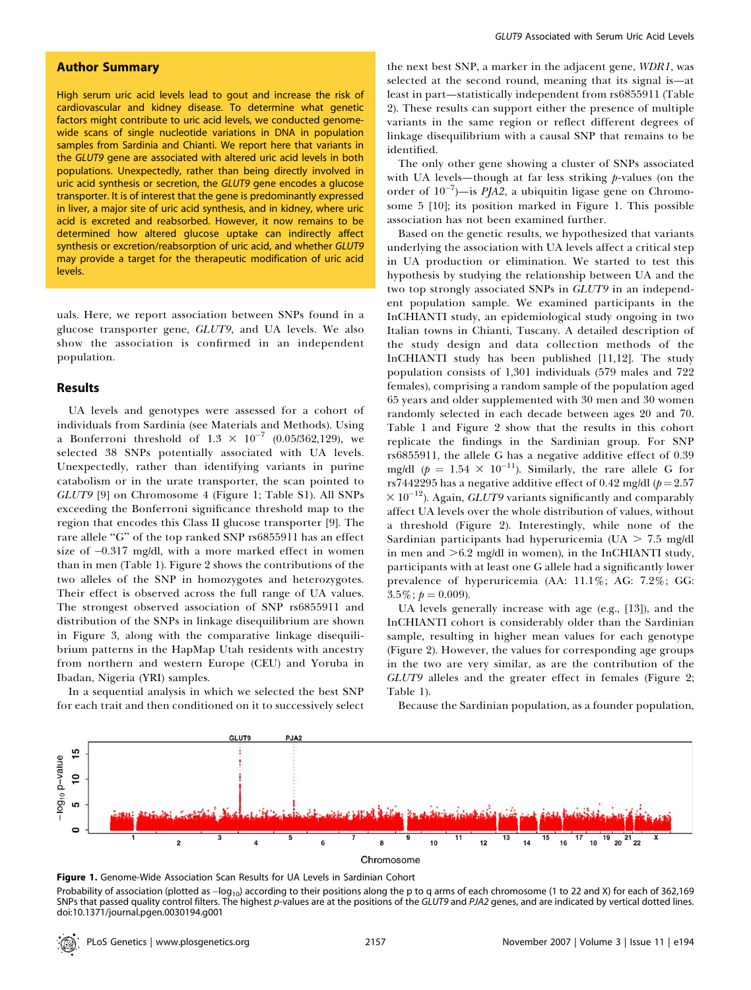## Author Summary

High serum uric acid levels lead to gout and increase the risk of cardiovascular and kidney disease. To determine what genetic factors might contribute to uric acid levels, we conducted genomewide scans of single nucleotide variations in DNA in population samples from Sardinia and Chianti. We report here that variants in the GLUT9 gene are associated with altered uric acid levels in both populations. Unexpectedly, rather than being directly involved in uric acid synthesis or secretion, the GLUT9 gene encodes a glucose transporter. It is of interest that the gene is predominantly expressed in liver, a major site of uric acid synthesis, and in kidney, where uric acid is excreted and reabsorbed. However, it now remains to be determined how altered glucose uptake can indirectly affect synthesis or excretion/reabsorption of uric acid, and whether GLUT9 may provide a target for the therapeutic modification of uric acid levels.

uals. Here, we report association between SNPs found in a glucose transporter gene, GLUT9, and UA levels. We also show the association is confirmed in an independent population.

### Results

UA levels and genotypes were assessed for a cohort of individuals from Sardinia (see Materials and Methods). Using a Bonferroni threshold of  $1.3 \times 10^{-7}$  (0.05/362,129), we selected 38 SNPs potentially associated with UA levels. Unexpectedly, rather than identifying variants in purine catabolism or in the urate transporter, the scan pointed to GLUT9 [9] on Chromosome 4 (Figure 1; Table S1). All SNPs exceeding the Bonferroni significance threshold map to the region that encodes this Class II glucose transporter [9]. The rare allele ''G'' of the top ranked SNP rs6855911 has an effect size of  $-0.317$  mg/dl, with a more marked effect in women than in men (Table 1). Figure 2 shows the contributions of the two alleles of the SNP in homozygotes and heterozygotes. Their effect is observed across the full range of UA values. The strongest observed association of SNP rs6855911 and distribution of the SNPs in linkage disequilibrium are shown in Figure 3, along with the comparative linkage disequilibrium patterns in the HapMap Utah residents with ancestry from northern and western Europe (CEU) and Yoruba in Ibadan, Nigeria (YRI) samples.

In a sequential analysis in which we selected the best SNP for each trait and then conditioned on it to successively select

the next best SNP, a marker in the adjacent gene, WDR1, was selected at the second round, meaning that its signal is—at least in part—statistically independent from rs6855911 (Table 2). These results can support either the presence of multiple variants in the same region or reflect different degrees of linkage disequilibrium with a causal SNP that remains to be identified.

The only other gene showing a cluster of SNPs associated with UA levels—though at far less striking  $p$ -values (on the order of  $10^{-7}$ )—is PJA2, a ubiquitin ligase gene on Chromosome 5 [10]; its position marked in Figure 1. This possible association has not been examined further.

Based on the genetic results, we hypothesized that variants underlying the association with UA levels affect a critical step in UA production or elimination. We started to test this hypothesis by studying the relationship between UA and the two top strongly associated SNPs in GLUT9 in an independent population sample. We examined participants in the InCHIANTI study, an epidemiological study ongoing in two Italian towns in Chianti, Tuscany. A detailed description of the study design and data collection methods of the InCHIANTI study has been published [11,12]. The study population consists of 1,301 individuals (579 males and 722 females), comprising a random sample of the population aged 65 years and older supplemented with 30 men and 30 women randomly selected in each decade between ages 20 and 70. Table 1 and Figure 2 show that the results in this cohort replicate the findings in the Sardinian group. For SNP rs6855911, the allele G has a negative additive effect of 0.39 mg/dl ( $p = 1.54 \times 10^{-11}$ ). Similarly, the rare allele G for rs7442295 has a negative additive effect of 0.42 mg/dl ( $p = 2.57$ )  $\times$  10<sup>-12</sup>). Again, *GLUT9* variants significantly and comparably affect UA levels over the whole distribution of values, without a threshold (Figure 2). Interestingly, while none of the Sardinian participants had hyperuricemia (UA  $>$  7.5 mg/dl in men and  $>6.2$  mg/dl in women), in the InCHIANTI study, participants with at least one G allele had a significantly lower prevalence of hyperuricemia (AA: 11.1%; AG: 7.2%; GG:  $3.5\%; p = 0.009$ ).

UA levels generally increase with age (e.g., [13]), and the InCHIANTI cohort is considerably older than the Sardinian sample, resulting in higher mean values for each genotype (Figure 2). However, the values for corresponding age groups in the two are very similar, as are the contribution of the GLUT9 alleles and the greater effect in females (Figure 2; Table 1).

Because the Sardinian population, as a founder population,



Figure 1. Genome-Wide Association Scan Results for UA Levels in Sardinian Cohort Probability of association (plotted as  $-$ log<sub>10</sub>) according to their positions along the p to q arms of each chromosome (1 to 22 and X) for each of 362,169 SNPs that passed quality control filters. The highest p-values are at the positions of the GLUT9 and PJA2 genes, and are indicated by vertical dotted lines. doi:10.1371/journal.pgen.0030194.g001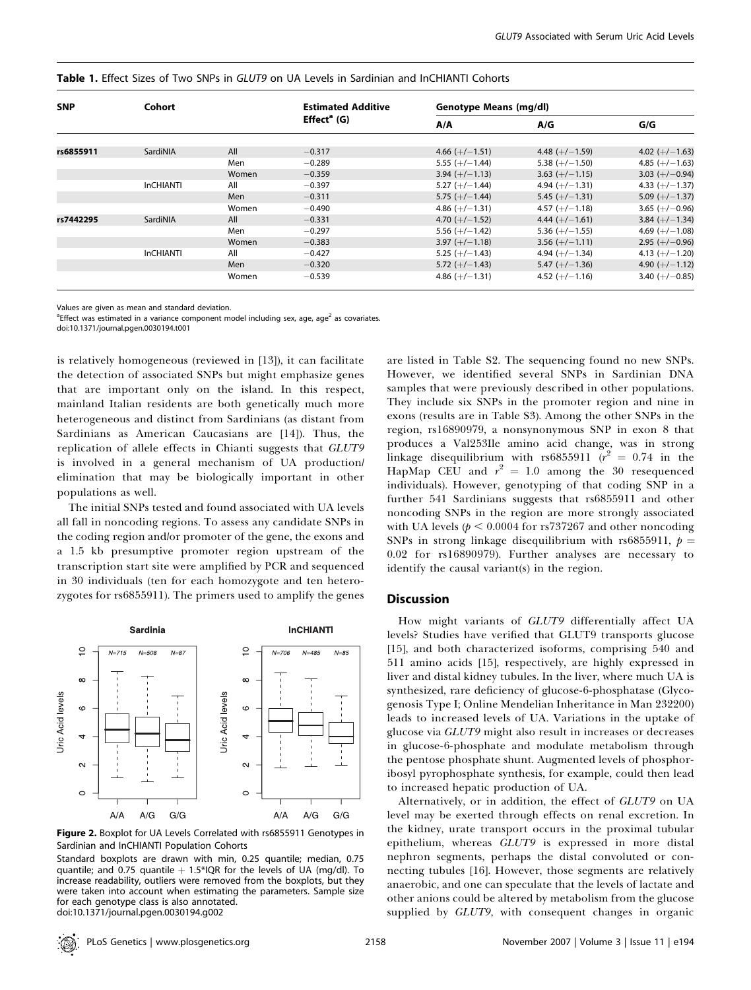|  |  |  |  |  |  |  |  |  | <b>Table 1.</b> Effect Sizes of Two SNPs in GLUT9 on UA Levels in Sardinian and InCHIANTI Cohorts |  |
|--|--|--|--|--|--|--|--|--|---------------------------------------------------------------------------------------------------|--|
|--|--|--|--|--|--|--|--|--|---------------------------------------------------------------------------------------------------|--|

| <b>SNP</b> | Cohort           |       | <b>Estimated Additive</b> | Genotype Means (mg/dl)               |                                      |                  |  |
|------------|------------------|-------|---------------------------|--------------------------------------|--------------------------------------|------------------|--|
|            |                  |       | $Effecta$ (G)             | A/A                                  | A/G                                  | G/G              |  |
| rs6855911  | SardiNIA         | All   | $-0.317$                  |                                      |                                      | 4.02 $(+/-1.63)$ |  |
|            |                  | Men   | $-0.289$                  | $4.66 (+/-1.51)$<br>$5.55 (+/-1.44)$ | 4.48 $(+/-1.59)$<br>$5.38 (+/-1.50)$ | 4.85 $(+/-1.63)$ |  |
|            |                  | Women | $-0.359$                  | $3.94 (+/-1.13)$                     | $3.63 (+/-1.15)$                     | 3.03 $(+/-0.94)$ |  |
|            | <b>InCHIANTI</b> | All   | $-0.397$                  | $5.27 (+/-1.44)$                     | 4.94 $(+/-1.31)$                     | 4.33 $(+/-1.37)$ |  |
|            |                  | Men   | $-0.311$                  | $5.75 (+/-1.44)$                     | $5.45 (+/-1.31)$                     | 5.09 $(+/-1.37)$ |  |
|            |                  | Women | $-0.490$                  | 4.86 $(+/-1.31)$                     | 4.57 $(+/-1.18)$                     | 3.65 $(+/-0.96)$ |  |
| rs7442295  | SardiNIA         | All   | $-0.331$                  | 4.70 $(+/-1.52)$                     | 4.44 $(+/-1.61)$                     | 3.84 $(+/-1.34)$ |  |
|            |                  | Men   | $-0.297$                  | 5.56 $(+/-1.42)$                     | $5.36 (+/-1.55)$                     | 4.69 $(+/-1.08)$ |  |
|            |                  | Women | $-0.383$                  | $3.97 (+/-1.18)$                     | $3.56 (+/-1.11)$                     | $2.95 (+/-0.96)$ |  |
|            | <b>InCHIANTI</b> | All   | $-0.427$                  | $5.25 (+/-1.43)$                     | 4.94 $(+/-1.34)$                     | 4.13 $(+/-1.20)$ |  |
|            |                  | Men   | $-0.320$                  | $5.72 (+/-1.43)$                     | $5.47 (+/-1.36)$                     | 4.90 $(+/-1.12)$ |  |
|            |                  | Women | $-0.539$                  | 4.86 $(+/-1.31)$                     | $4.52 (+/-1.16)$                     | 3.40 $(+/-0.85)$ |  |

Values are given as mean and standard deviation.

<sup>a</sup>Effect was estimated in a variance component model including sex, age, age<sup>2</sup> as covariates.

doi:10.1371/journal.pgen.0030194.t001

is relatively homogeneous (reviewed in [13]), it can facilitate the detection of associated SNPs but might emphasize genes that are important only on the island. In this respect, mainland Italian residents are both genetically much more heterogeneous and distinct from Sardinians (as distant from Sardinians as American Caucasians are [14]). Thus, the replication of allele effects in Chianti suggests that GLUT9 is involved in a general mechanism of UA production/ elimination that may be biologically important in other populations as well.

The initial SNPs tested and found associated with UA levels all fall in noncoding regions. To assess any candidate SNPs in the coding region and/or promoter of the gene, the exons and a 1.5 kb presumptive promoter region upstream of the transcription start site were amplified by PCR and sequenced in 30 individuals (ten for each homozygote and ten heterozygotes for rs6855911). The primers used to amplify the genes



Figure 2. Boxplot for UA Levels Correlated with rs6855911 Genotypes in Sardinian and InCHIANTI Population Cohorts

Standard boxplots are drawn with min, 0.25 quantile; median, 0.75 quantile; and 0.75 quantile  $+$  1.5\*IQR for the levels of UA (mg/dl). To increase readability, outliers were removed from the boxplots, but they were taken into account when estimating the parameters. Sample size for each genotype class is also annotated.

doi:10.1371/journal.pgen.0030194.g002

are listed in Table S2. The sequencing found no new SNPs. However, we identified several SNPs in Sardinian DNA samples that were previously described in other populations. They include six SNPs in the promoter region and nine in exons (results are in Table S3). Among the other SNPs in the region, rs16890979, a nonsynonymous SNP in exon 8 that produces a Val253Ile amino acid change, was in strong linkage disequilibrium with rs $6855911$   $(r^2 = 0.74$  in the HapMap CEU and  $r^2 = 1.0$  among the 30 resequenced individuals). However, genotyping of that coding SNP in a further 541 Sardinians suggests that rs6855911 and other noncoding SNPs in the region are more strongly associated with UA levels ( $p < 0.0004$  for rs737267 and other noncoding SNPs in strong linkage disequilibrium with rs6855911,  $p =$ 0.02 for rs16890979). Further analyses are necessary to identify the causal variant(s) in the region.

### **Discussion**

How might variants of GLUT9 differentially affect UA levels? Studies have verified that GLUT9 transports glucose [15], and both characterized isoforms, comprising 540 and 511 amino acids [15], respectively, are highly expressed in liver and distal kidney tubules. In the liver, where much UA is synthesized, rare deficiency of glucose-6-phosphatase (Glycogenosis Type I; Online Mendelian Inheritance in Man 232200) leads to increased levels of UA. Variations in the uptake of glucose via GLUT9 might also result in increases or decreases in glucose-6-phosphate and modulate metabolism through the pentose phosphate shunt. Augmented levels of phosphoribosyl pyrophosphate synthesis, for example, could then lead to increased hepatic production of UA.

Alternatively, or in addition, the effect of GLUT9 on UA level may be exerted through effects on renal excretion. In the kidney, urate transport occurs in the proximal tubular epithelium, whereas GLUT9 is expressed in more distal nephron segments, perhaps the distal convoluted or connecting tubules [16]. However, those segments are relatively anaerobic, and one can speculate that the levels of lactate and other anions could be altered by metabolism from the glucose supplied by *GLUT9*, with consequent changes in organic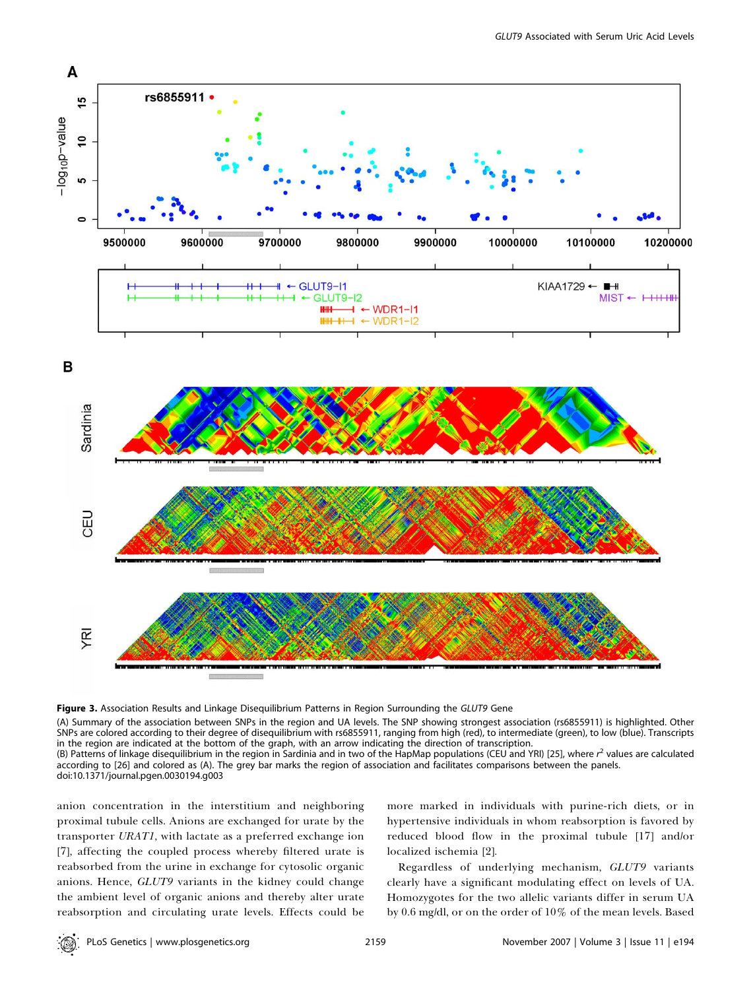

Figure 3. Association Results and Linkage Disequilibrium Patterns in Region Surrounding the GLUT9 Gene

(A) Summary of the association between SNPs in the region and UA levels. The SNP showing strongest association (rs6855911) is highlighted. Other SNPs are colored according to their degree of disequilibrium with rs6855911, ranging from high (red), to intermediate (green), to low (blue). Transcripts in the region are indicated at the bottom of the graph, with an arrow indicating the direction of transcription.

(B) Patterns of linkage disequilibrium in the region in Sardinia and in two of the HapMap populations (CEU and YRI) [25], where  $r^2$  values are calculated according to [26] and colored as (A). The grey bar marks the region of association and facilitates comparisons between the panels. doi:10.1371/journal.pgen.0030194.g003

anion concentration in the interstitium and neighboring proximal tubule cells. Anions are exchanged for urate by the transporter URAT1, with lactate as a preferred exchange ion [7], affecting the coupled process whereby filtered urate is reabsorbed from the urine in exchange for cytosolic organic anions. Hence, GLUT9 variants in the kidney could change the ambient level of organic anions and thereby alter urate reabsorption and circulating urate levels. Effects could be

more marked in individuals with purine-rich diets, or in hypertensive individuals in whom reabsorption is favored by reduced blood flow in the proximal tubule [17] and/or localized ischemia [2].

Regardless of underlying mechanism, GLUT9 variants clearly have a significant modulating effect on levels of UA. Homozygotes for the two allelic variants differ in serum UA by 0.6 mg/dl, or on the order of 10% of the mean levels. Based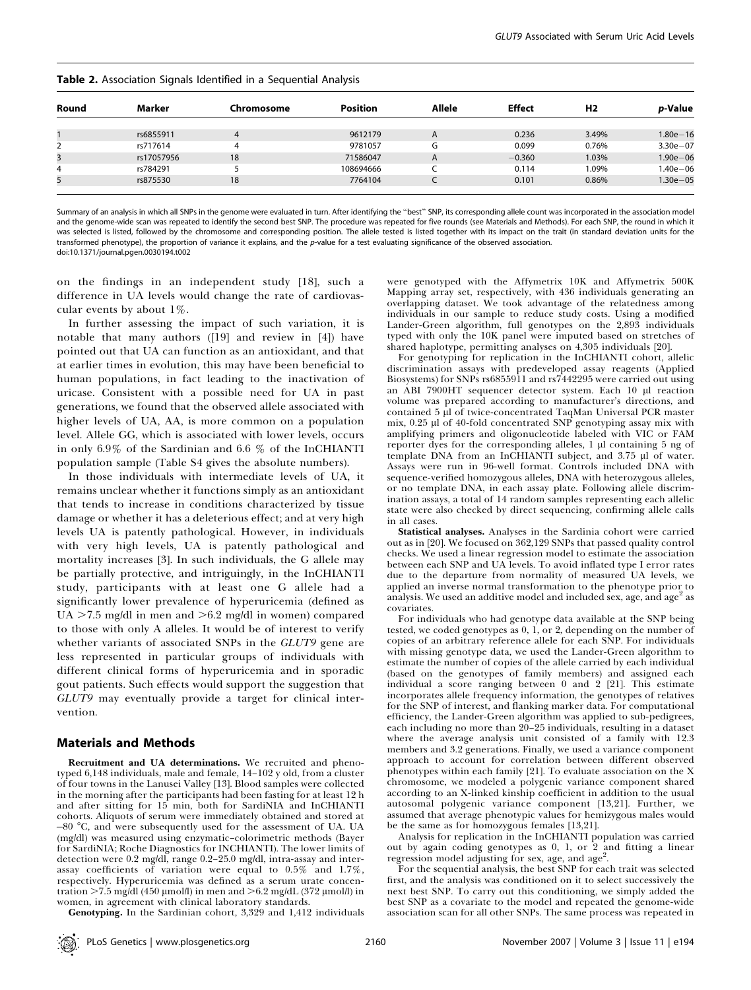|       | <b>-</b>   |            |                 |        |               |                |                 |
|-------|------------|------------|-----------------|--------|---------------|----------------|-----------------|
| Round | Marker     | Chromosome | <b>Position</b> | Allele | <b>Effect</b> | H <sub>2</sub> | <i>p</i> -Value |
|       | rs6855911  | 4          | 9612179         | A      | 0.236         | 3.49%          | $1.80e - 16$    |
|       | rs717614   | 4          | 9781057         | G      | 0.099         | 0.76%          | $3.30e - 07$    |
| 3     | rs17057956 | 18         | 71586047        | A      | $-0.360$      | 1.03%          | $1.90e - 06$    |
| 4     | rs784291   |            | 108694666       |        | 0.114         | 1.09%          | $1.40e - 06$    |
| 5     | rs875530   | 18         | 7764104         |        | 0.101         | 0.86%          | $1.30e - 05$    |

Table 2. Association Signals Identified in a Sequential Analysis

Summary of an analysis in which all SNPs in the genome were evaluated in turn. After identifying the "best" SNP, its corresponding allele count was incorporated in the association model and the genome-wide scan was repeated to identify the second best SNP. The procedure was repeated for five rounds (see Materials and Methods). For each SNP, the round in which it was selected is listed, followed by the chromosome and corresponding position. The allele tested is listed together with its impact on the trait (in standard deviation units for the transformed phenotype), the proportion of variance it explains, and the p-value for a test evaluating significance of the observed association. doi:10.1371/journal.pgen.0030194.t002

on the findings in an independent study [18], such a difference in UA levels would change the rate of cardiovascular events by about 1%.

In further assessing the impact of such variation, it is notable that many authors ([19] and review in [4]) have pointed out that UA can function as an antioxidant, and that at earlier times in evolution, this may have been beneficial to human populations, in fact leading to the inactivation of uricase. Consistent with a possible need for UA in past generations, we found that the observed allele associated with higher levels of UA, AA, is more common on a population level. Allele GG, which is associated with lower levels, occurs in only 6.9% of the Sardinian and 6.6 % of the InCHIANTI population sample (Table S4 gives the absolute numbers).

In those individuals with intermediate levels of UA, it remains unclear whether it functions simply as an antioxidant that tends to increase in conditions characterized by tissue damage or whether it has a deleterious effect; and at very high levels UA is patently pathological. However, in individuals with very high levels, UA is patently pathological and mortality increases [3]. In such individuals, the G allele may be partially protective, and intriguingly, in the InCHIANTI study, participants with at least one G allele had a significantly lower prevalence of hyperuricemia (defined as UA  $>7.5$  mg/dl in men and  $>6.2$  mg/dl in women) compared to those with only A alleles. It would be of interest to verify whether variants of associated SNPs in the GLUT9 gene are less represented in particular groups of individuals with different clinical forms of hyperuricemia and in sporadic gout patients. Such effects would support the suggestion that GLUT9 may eventually provide a target for clinical intervention.

#### Materials and Methods

Recruitment and UA determinations. We recruited and phenotyped 6,148 individuals, male and female, 14–102 y old, from a cluster of four towns in the Lanusei Valley [13]. Blood samples were collected in the morning after the participants had been fasting for at least 12 h and after sitting for 15 min, both for SardiNIA and InCHIANTI cohorts. Aliquots of serum were immediately obtained and stored at -80 °C, and were subsequently used for the assessment of UA. UA (mg/dl) was measured using enzymatic–colorimetric methods (Bayer for SardiNIA; Roche Diagnostics for INCHIANTI). The lower limits of detection were 0.2 mg/dl, range 0.2–25.0 mg/dl, intra-assay and interassay coefficients of variation were equal to 0.5% and 1.7%, respectively. Hyperuricemia was defined as a serum urate concentration  $>7.5$  mg/dl (450 µmol/l) in men and  $>6.2$  mg/dL (372 µmol/l) in women, in agreement with clinical laboratory standards.

Genotyping. In the Sardinian cohort, 3,329 and 1,412 individuals

were genotyped with the Affymetrix 10K and Affymetrix 500K Mapping array set, respectively, with 436 individuals generating an overlapping dataset. We took advantage of the relatedness among individuals in our sample to reduce study costs. Using a modified Lander-Green algorithm, full genotypes on the 2,893 individuals typed with only the 10K panel were imputed based on stretches of shared haplotype, permitting analyses on 4,305 individuals [20].

For genotyping for replication in the InCHIANTI cohort, allelic discrimination assays with predeveloped assay reagents (Applied Biosystems) for SNPs rs6855911 and rs7442295 were carried out using an ABI 7900HT sequencer detector system. Each 10 µl reaction volume was prepared according to manufacturer's directions, and contained 5 ul of twice-concentrated TaqMan Universal PCR master mix, 0.25 µ of 40-fold concentrated SNP genotyping assay mix with amplifying primers and oligonucleotide labeled with VIC or FAM reporter dyes for the corresponding alleles,  $1 \mu l$  containing  $5 \text{ ng of}$ template DNA from an InCHIANTI subject, and 3.75 µl of water. Assays were run in 96-well format. Controls included DNA with sequence-verified homozygous alleles, DNA with heterozygous alleles, or no template DNA, in each assay plate. Following allele discrimination assays, a total of 14 random samples representing each allelic state were also checked by direct sequencing, confirming allele calls in all cases.

Statistical analyses. Analyses in the Sardinia cohort were carried out as in [20]. We focused on 362,129 SNPs that passed quality control checks. We used a linear regression model to estimate the association between each SNP and UA levels. To avoid inflated type I error rates due to the departure from normality of measured UA levels, we applied an inverse normal transformation to the phenotype prior to analysis. We used an additive model and included sex, age, and  $age<sup>2</sup>$  as covariates.

For individuals who had genotype data available at the SNP being tested, we coded genotypes as 0, 1, or 2, depending on the number of copies of an arbitrary reference allele for each SNP. For individuals with missing genotype data, we used the Lander-Green algorithm to estimate the number of copies of the allele carried by each individual (based on the genotypes of family members) and assigned each individual a score ranging between 0 and 2 [21]. This estimate incorporates allele frequency information, the genotypes of relatives for the SNP of interest, and flanking marker data. For computational efficiency, the Lander-Green algorithm was applied to sub-pedigrees, each including no more than 20–25 individuals, resulting in a dataset where the average analysis unit consisted of a family with 12.3 members and 3.2 generations. Finally, we used a variance component approach to account for correlation between different observed phenotypes within each family [21]. To evaluate association on the X chromosome, we modeled a polygenic variance component shared according to an X-linked kinship coefficient in addition to the usual autosomal polygenic variance component [13,21]. Further, we assumed that average phenotypic values for hemizygous males would be the same as for homozygous females [13,21].

Analysis for replication in the InCHIANTI population was carried out by again coding genotypes as 0, 1, or 2 and fitting a linear regression model adjusting for sex, age, and age<sup>2</sup>.

For the sequential analysis, the best SNP for each trait was selected first, and the analysis was conditioned on it to select successively the next best SNP. To carry out this conditioning, we simply added the best SNP as a covariate to the model and repeated the genome-wide association scan for all other SNPs. The same process was repeated in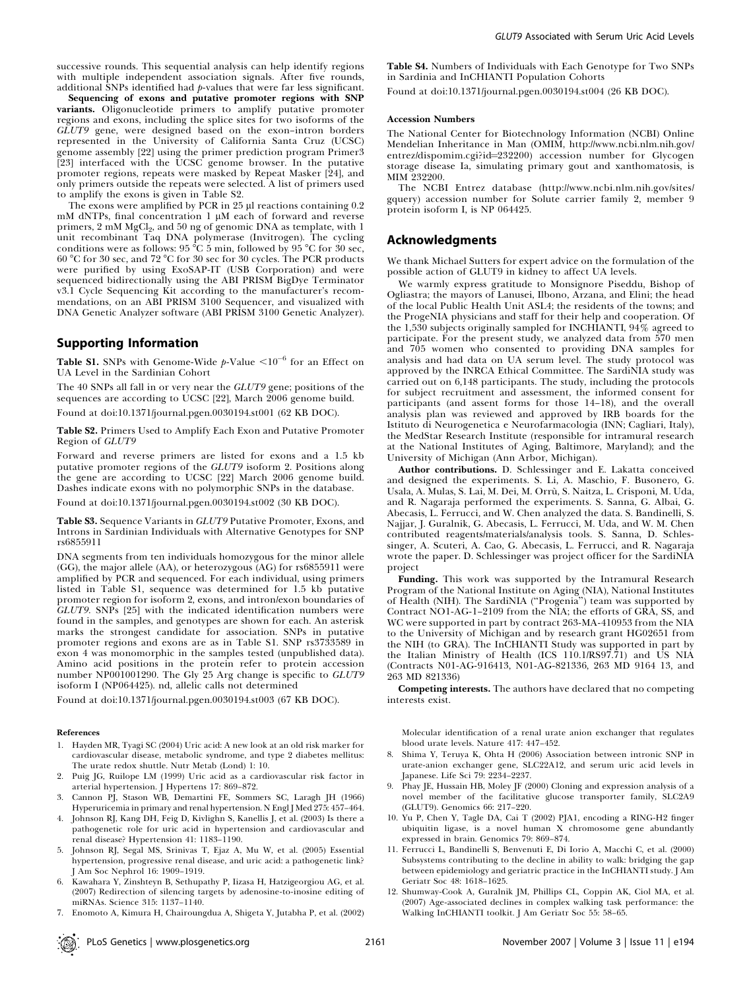successive rounds. This sequential analysis can help identify regions with multiple independent association signals. After five rounds, additional SNPs identified had  $p$ -values that were far less significant.

Sequencing of exons and putative promoter regions with SNP variants. Oligonucleotide primers to amplify putative promoter regions and exons, including the splice sites for two isoforms of the GLUT9 gene, were designed based on the exon–intron borders represented in the University of California Santa Cruz (UCSC) genome assembly [22] using the primer prediction program Primer3 [23] interfaced with the UCSC genome browser. In the putative promoter regions, repeats were masked by Repeat Masker [24], and only primers outside the repeats were selected. A list of primers used to amplify the exons is given in Table S2.

The exons were amplified by PCR in  $25 \mu$  reactions containing 0.2 mM dNTPs, final concentration  $1 \mu$ M each of forward and reverse primers, 2 mM MgCl<sub>2</sub>, and 50 ng of genomic DNA as template, with 1 unit recombinant Taq DNA polymerase (Invitrogen). The cycling conditions were as follows:  $95\text{ °C}$  5 min, followed by  $95\text{ °C}$  for  $30\text{ sec}$ , 60 8C for 30 sec, and 72 8C for 30 sec for 30 cycles. The PCR products were purified by using ExoSAP-IT (USB Corporation) and were sequenced bidirectionally using the ABI PRISM BigDye Terminator v3.1 Cycle Sequencing Kit according to the manufacturer's recommendations, on an ABI PRISM 3100 Sequencer, and visualized with DNA Genetic Analyzer software (ABI PRISM 3100 Genetic Analyzer).

#### Supporting Information

**Table S1.** SNPs with Genome-Wide  $p\text{-Value} < 10^{-6}$  for an Effect on UA Level in the Sardinian Cohort

The 40 SNPs all fall in or very near the GLUT9 gene; positions of the sequences are according to UCSC [22], March 2006 genome build.

Found at doi:10.1371/journal.pgen.0030194.st001 (62 KB DOC).

Table S2. Primers Used to Amplify Each Exon and Putative Promoter Region of GLUT9

Forward and reverse primers are listed for exons and a 1.5 kb putative promoter regions of the GLUT9 isoform 2. Positions along the gene are according to UCSC [22] March 2006 genome build. Dashes indicate exons with no polymorphic SNPs in the database.

Found at doi:10.1371/journal.pgen.0030194.st002 (30 KB DOC).

Table S3. Sequence Variants in GLUT9 Putative Promoter, Exons, and Introns in Sardinian Individuals with Alternative Genotypes for SNP rs6855911

DNA segments from ten individuals homozygous for the minor allele (GG), the major allele (AA), or heterozygous (AG) for rs6855911 were amplified by PCR and sequenced. For each individual, using primers listed in Table S1, sequence was determined for 1.5 kb putative promoter region for isoform 2, exons, and intron/exon boundaries of  $GLUT9$ . SNPs [25] with the indicated identification numbers were found in the samples, and genotypes are shown for each. An asterisk marks the strongest candidate for association. SNPs in putative promoter regions and exons are as in Table S1. SNP rs3733589 in exon 4 was monomorphic in the samples tested (unpublished data). Amino acid positions in the protein refer to protein accession number NP001001290. The Gly 25 Arg change is specific to GLUT9 isoform I (NP064425). nd, allelic calls not determined

Found at doi:10.1371/journal.pgen.0030194.st003 (67 KB DOC).

#### References

- 1. Hayden MR, Tyagi SC (2004) Uric acid: A new look at an old risk marker for cardiovascular disease, metabolic syndrome, and type 2 diabetes mellitus: The urate redox shuttle. Nutr Metab (Lond) 1: 10.
- 2. Puig JG, Ruilope LM (1999) Uric acid as a cardiovascular risk factor in arterial hypertension. J Hypertens 17: 869–872.
- 3. Cannon PJ, Stason WB, Demartini FE, Sommers SC, Laragh JH (1966) Hyperuricemia in primary and renal hypertension. N Engl J Med 275: 457–464.
- 4. Johnson RJ, Kang DH, Feig D, Kivlighn S, Kanellis J, et al. (2003) Is there a pathogenetic role for uric acid in hypertension and cardiovascular and renal disease? Hypertension 41: 1183–1190.
- 5. Johnson RJ, Segal MS, Srinivas T, Ejaz A, Mu W, et al. (2005) Essential hypertension, progressive renal disease, and uric acid: a pathogenetic link? J Am Soc Nephrol 16: 1909–1919.
- 6. Kawahara Y, Zinshteyn B, Sethupathy P, Iizasa H, Hatzigeorgiou AG, et al. (2007) Redirection of silencing targets by adenosine-to-inosine editing of miRNAs. Science 315: 1137–1140.
- 7. Enomoto A, Kimura H, Chairoungdua A, Shigeta Y, Jutabha P, et al. (2002)

Table S4. Numbers of Individuals with Each Genotype for Two SNPs in Sardinia and InCHIANTI Population Cohorts

Found at doi:10.1371/journal.pgen.0030194.st004 (26 KB DOC).

#### Accession Numbers

The National Center for Biotechnology Information (NCBI) Online Mendelian Inheritance in Man (OMIM, http://www.ncbi.nlm.nih.gov/ entrez/dispomim.cgi?id=232200) accession number for Glycogen storage disease Ia, simulating primary gout and xanthomatosis, is MIM 232200.

The NCBI Entrez database (http://www.ncbi.nlm.nih.gov/sites/ gquery) accession number for Solute carrier family 2, member 9 protein isoform I, is NP 064425.

#### Acknowledgments

We thank Michael Sutters for expert advice on the formulation of the possible action of GLUT9 in kidney to affect UA levels.

We warmly express gratitude to Monsignore Piseddu, Bishop of Ogliastra; the mayors of Lanusei, Ilbono, Arzana, and Elini; the head of the local Public Health Unit ASL4; the residents of the towns; and the ProgeNIA physicians and staff for their help and cooperation. Of the 1,530 subjects originally sampled for INCHIANTI, 94% agreed to participate. For the present study, we analyzed data from 570 men and 705 women who consented to providing DNA samples for analysis and had data on UA serum level. The study protocol was approved by the INRCA Ethical Committee. The SardiNIA study was carried out on 6,148 participants. The study, including the protocols for subject recruitment and assessment, the informed consent for participants (and assent forms for those 14–18), and the overall analysis plan was reviewed and approved by IRB boards for the Istituto di Neurogenetica e Neurofarmacologia (INN; Cagliari, Italy), the MedStar Research Institute (responsible for intramural research at the National Institutes of Aging, Baltimore, Maryland); and the University of Michigan (Ann Arbor, Michigan).

Author contributions. D. Schlessinger and E. Lakatta conceived and designed the experiments. S. Li, A. Maschio, F. Busonero, G. Usala, A. Mulas, S. Lai, M. Dei, M. Orrù, S. Naitza, L. Crisponi, M. Uda, and R. Nagaraja performed the experiments. S. Sanna, G. Albai, G. Abecasis, L. Ferrucci, and W. Chen analyzed the data. S. Bandinelli, S. Najjar, J. Guralnik, G. Abecasis, L. Ferrucci, M. Uda, and W. M. Chen contributed reagents/materials/analysis tools. S. Sanna, D. Schlessinger, A. Scuteri, A. Cao, G. Abecasis, L. Ferrucci, and R. Nagaraja wrote the paper. D. Schlessinger was project officer for the SardiNIA project

Funding. This work was supported by the Intramural Research Program of the National Institute on Aging (NIA), National Institutes of Health (NIH). The SardiNIA (''Progenia'') team was supported by Contract NO1-AG-1–2109 from the NIA; the efforts of GRA, SS, and WC were supported in part by contract 263-MA-410953 from the NIA to the University of Michigan and by research grant HG02651 from the NIH (to GRA). The InCHIANTI Study was supported in part by the Italian Ministry of Health (ICS 110.1/RS97.71) and US NIA (Contracts N01-AG-916413, N01-AG-821336, 263 MD 9164 13, and 263 MD 821336)

Competing interests. The authors have declared that no competing interests exist.

Molecular identification of a renal urate anion exchanger that regulates blood urate levels. Nature 417: 447–452.

- 8. Shima Y, Teruya K, Ohta H (2006) Association between intronic SNP in urate-anion exchanger gene, SLC22A12, and serum uric acid levels in Japanese. Life Sci 79: 2234–2237.
- 9. Phay JE, Hussain HB, Moley JF (2000) Cloning and expression analysis of a novel member of the facilitative glucose transporter family, SLC2A9 (GLUT9). Genomics 66: 217–220.
- 10. Yu P, Chen Y, Tagle DA, Cai T (2002) PJA1, encoding a RING-H2 finger ubiquitin ligase, is a novel human X chromosome gene abundantly expressed in brain. Genomics 79: 869–874.
- 11. Ferrucci L, Bandinelli S, Benvenuti E, Di Iorio A, Macchi C, et al. (2000) Subsystems contributing to the decline in ability to walk: bridging the gap between epidemiology and geriatric practice in the InCHIANTI study. J Am Geriatr Soc 48: 1618–1625.
- 12. Shumway-Cook A, Guralnik JM, Phillips CL, Coppin AK, Ciol MA, et al. (2007) Age-associated declines in complex walking task performance: the Walking InCHIANTI toolkit. J Am Geriatr Soc 55: 58–65.